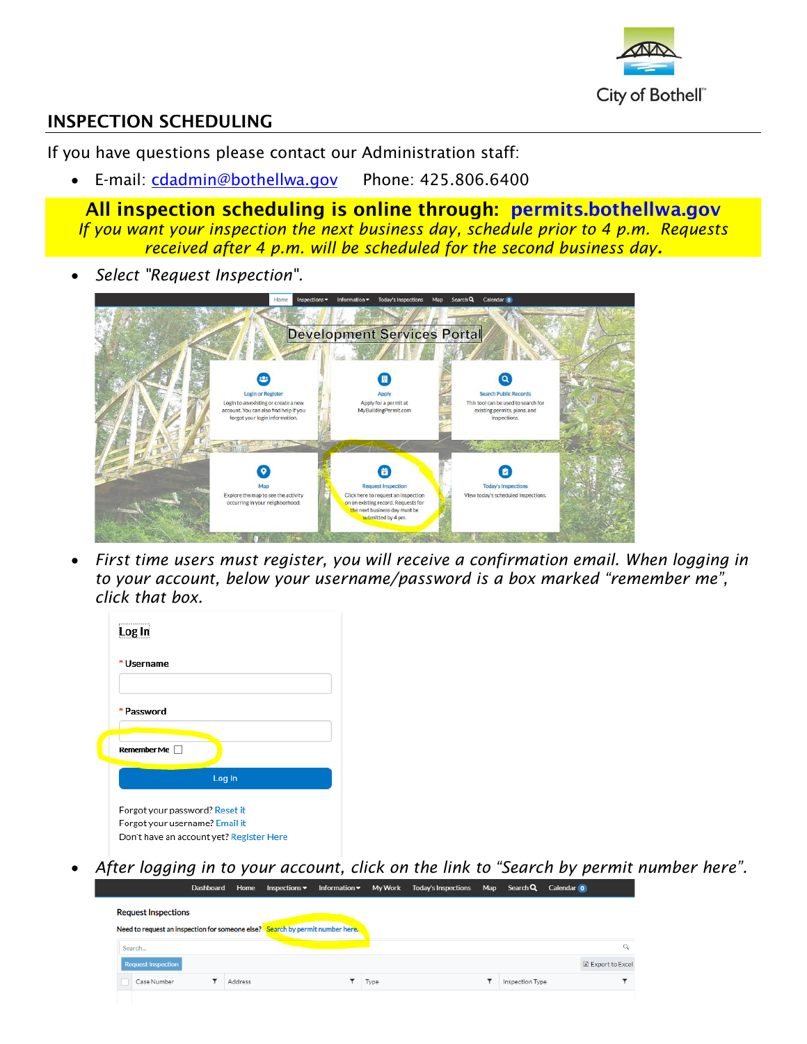

## INSPECTION SCHEDULING

If you have questions please contact our Administration staff:

• E-mail: [cdadmin@bothellwa.gov](mailto:cdadmin@bothellwa.gov) Phone: 425.806.6400

All inspection scheduling is online through: [permits.bothellwa.gov](https://permits.bothellwa.gov/EnerGov_PROD/SelfService#/home) *If you want your inspection the next business day, schedule prior to 4 p.m. Requests received after 4 p.m. will be scheduled for the second business day.*

*Select "Request Inspection".* 



 *First time users must register, you will receive a confirmation email. When logging in to your account, below your username/password is a box marked "remember me", click that box.* 

| Log In                                                           |                                          |
|------------------------------------------------------------------|------------------------------------------|
| Username                                                         |                                          |
| * Password                                                       |                                          |
| Remember Me                                                      |                                          |
|                                                                  | Log In                                   |
| Forgot your password? Reset it<br>Forgot your username? Email it | Don't have an account yet? Register Here |

 *After logging in to your account, click on the link to "Search by permit number here".* Home Inspections ▼ Information ▼ My Work Today's Inspections Map Search Q Calendar O

| <b>Request Inspections</b> |         | Need to request an inspection for someone else? Search by permit number here. |      |                 |                   |
|----------------------------|---------|-------------------------------------------------------------------------------|------|-----------------|-------------------|
| Search                     |         |                                                                               |      |                 | $\alpha$          |
| <b>Request Inspection</b>  |         |                                                                               |      |                 | X Export to Excel |
| Case Number                | Address |                                                                               | Type | Inspection Type |                   |
|                            |         |                                                                               |      |                 |                   |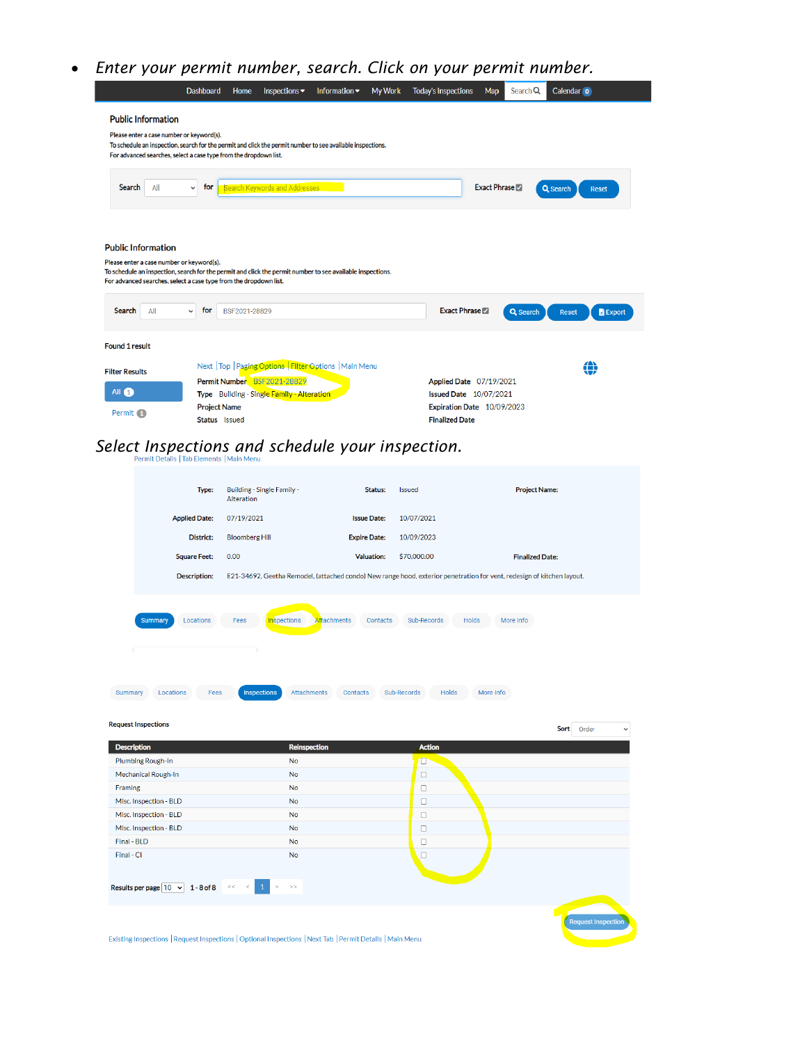## *Enter your permit number, search. Click on your permit number.*

|                                                                                                                                                                                                                                                           | <b>Dashboard</b>                     | Home          | Inspections $\blacktriangledown$           | Information •                                            | <b>My Work</b> | <b>Today's Inspections</b>                          | Map                 | Search Q | Calendar o                      |
|-----------------------------------------------------------------------------------------------------------------------------------------------------------------------------------------------------------------------------------------------------------|--------------------------------------|---------------|--------------------------------------------|----------------------------------------------------------|----------------|-----------------------------------------------------|---------------------|----------|---------------------------------|
| <b>Public Information</b><br>Please enter a case number or keyword(s).<br>To schedule an inspection, search for the permit and click the permit number to see available inspections.<br>For advanced searches, select a case type from the dropdown list. |                                      |               |                                            |                                                          |                |                                                     |                     |          |                                 |
| Search<br>All                                                                                                                                                                                                                                             | for<br>$\checkmark$                  |               | Search Keywords and Addresses              |                                                          |                |                                                     | <b>Exact Phrase</b> |          | Q Search<br><b>Reset</b>        |
| <b>Public Information</b><br>Please enter a case number or keyword(s).<br>To schedule an inspection, search for the permit and click the permit number to see available inspections.<br>For advanced searches, select a case type from the dropdown list. |                                      |               |                                            |                                                          |                |                                                     |                     |          |                                 |
| All<br>Search                                                                                                                                                                                                                                             | for<br>$\checkmark$                  | BSF2021-28829 |                                            |                                                          |                | <b>Exact Phrase</b>                                 |                     | Q Search | <b>R</b> Export<br><b>Reset</b> |
| <b>Found 1 result</b>                                                                                                                                                                                                                                     |                                      |               |                                            |                                                          |                |                                                     |                     |          |                                 |
| <b>Filter Results</b>                                                                                                                                                                                                                                     |                                      |               | Permit Number BSF2021-28829                | Next   Top   Paging Options   Filter Options   Main Menu |                | Applied Date 07/19/2021                             |                     |          | ⇔                               |
| All 1                                                                                                                                                                                                                                                     |                                      |               | Type Building - Single Family - Alteration |                                                          |                | <b>Issued Date 10/07/2021</b>                       |                     |          |                                 |
| Permit 1                                                                                                                                                                                                                                                  | <b>Project Name</b><br>Status Issued |               |                                            |                                                          |                | Expiration Date 10/09/2023<br><b>Finalized Date</b> |                     |          |                                 |

## *Select Inspections and schedule your inspection.*

|             | Type:                                   | Building - Single Family -<br>Alteration                 | Status:                        | <b>Issued</b>              | <b>Project Name:</b>                                                                                                   |
|-------------|-----------------------------------------|----------------------------------------------------------|--------------------------------|----------------------------|------------------------------------------------------------------------------------------------------------------------|
|             | <b>Applied Date:</b>                    | 07/19/2021                                               | <b>Issue Date:</b>             | 10/07/2021                 |                                                                                                                        |
|             | District:                               | <b>Bloomberg Hill</b>                                    | <b>Expire Date:</b>            | 10/09/2023                 |                                                                                                                        |
|             | <b>Square Feet:</b>                     | 0.00                                                     | <b>Valuation:</b>              | \$70,000.00                | <b>Finalized Date:</b>                                                                                                 |
|             | <b>Description:</b>                     |                                                          |                                |                            | E21-34692, Geetha Remodel, (attached condo) New range hood, exterior penetration for vent, redesign of kitchen layout. |
|             | Locations<br><b>Summary</b>             | <b>Inspections</b><br>Fees<br>Inspections<br>Attachments | <b>Attachments</b><br>Contacts | Sub-Records<br>Sub-Records | Holds<br>More Info<br>Holds<br>More Info                                                                               |
| Summary     | Locations<br>Fees                       |                                                          | Contacts                       |                            |                                                                                                                        |
|             | <b>Request Inspections</b>              |                                                          |                                |                            | Sort<br>Order<br>$\checkmark$                                                                                          |
|             | <b>Description</b>                      | <b>Reinspection</b>                                      |                                | <b>Action</b>              |                                                                                                                        |
|             | Plumbing Rough-In                       | No                                                       |                                | $\Box$                     |                                                                                                                        |
|             | <b>Mechanical Rough-In</b>              | No                                                       |                                | $\Box$                     |                                                                                                                        |
| Framing     |                                         | No                                                       |                                | $\Box$                     |                                                                                                                        |
|             | Misc. Inspection - BLD                  | No                                                       |                                | $\Box$                     |                                                                                                                        |
|             | Misc. Inspection - BLD                  | <b>No</b>                                                |                                | $\Box$                     |                                                                                                                        |
|             | Misc. Inspection - BLD                  | No                                                       |                                | $\Box$                     |                                                                                                                        |
| Final - BLD |                                         | No                                                       |                                | $\Box$                     |                                                                                                                        |
| Final - Cl  |                                         | <b>No</b>                                                |                                | $\Box$                     |                                                                                                                        |
|             | Results per page $10 \times 1 - 8$ of 8 | $\mathbf{1}$<br>$\rightarrow$<br>$<<$                    |                                |                            |                                                                                                                        |